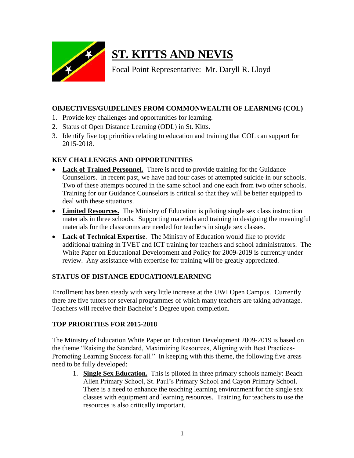

# **ST. KITTS AND NEVIS**

Focal Point Representative: Mr. Daryll R. Lloyd

## **OBJECTIVES/GUIDELINES FROM COMMONWEALTH OF LEARNING (COL)**

- 1. Provide key challenges and opportunities for learning.
- 2. Status of Open Distance Learning (ODL) in St. Kitts.
- 3. Identify five top priorities relating to education and training that COL can support for 2015-2018.

### **KEY CHALLENGES AND OPPORTUNITIES**

- Lack of Trained Personnel. There is need to provide training for the Guidance Counsellors. In recent past, we have had four cases of attempted suicide in our schools. Two of these attempts occured in the same school and one each from two other schools. Training for our Guidance Counselors is critical so that they will be better equipped to deal with these situations.
- **Limited Resources.** The Ministry of Education is piloting single sex class instruction materials in three schools. Supporting materials and training in designing the meaningful materials for the classrooms are needed for teachers in single sex classes.
- **Lack of Technical Expertise**. The Ministry of Education would like to provide additional training in TVET and ICT training for teachers and school administrators. The White Paper on Educational Development and Policy for 2009-2019 is currently under review. Any assistance with expertise for training will be greatly appreciated.

## **STATUS OF DISTANCE EDUCATION/LEARNING**

Enrollment has been steady with very little increase at the UWI Open Campus. Currently there are five tutors for several programmes of which many teachers are taking advantage. Teachers will receive their Bachelor's Degree upon completion.

#### **TOP PRIORITIES FOR 2015-2018**

The Ministry of Education White Paper on Education Development 2009-2019 is based on the theme "Raising the Standard, Maximizing Resources, Aligning with Best Practices-Promoting Learning Success for all." In keeping with this theme, the following five areas need to be fully developed:

1. **Single Sex Education.** This is piloted in three primary schools namely: Beach Allen Primary School, St. Paul's Primary School and Cayon Primary School. There is a need to enhance the teaching learning environment for the single sex classes with equipment and learning resources. Training for teachers to use the resources is also critically important.